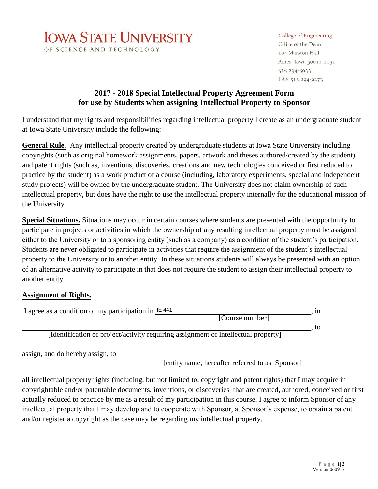

## College of Engineering Office of the Dean 104 Marston Hall Ames, Iowa 50011-2151 515 294-5933 FAX 515 294-9273

## **2017 - 2018 Special Intellectual Property Agreement Form for use by Students when assigning Intellectual Property to Sponsor**

I understand that my rights and responsibilities regarding intellectual property I create as an undergraduate student at Iowa State University include the following:

**General Rule.** Any intellectual property created by undergraduate students at Iowa State University including copyrights (such as original homework assignments, papers, artwork and theses authored/created by the student) and patent rights (such as, inventions, discoveries, creations and new technologies conceived or first reduced to practice by the student) as a work product of a course (including, laboratory experiments, special and independent study projects) will be owned by the undergraduate student. The University does not claim ownership of such intellectual property, but does have the right to use the intellectual property internally for the educational mission of the University.

**Special Situations.** Situations may occur in certain courses where students are presented with the opportunity to participate in projects or activities in which the ownership of any resulting intellectual property must be assigned either to the University or to a sponsoring entity (such as a company) as a condition of the student's participation. Students are never obligated to participate in activities that require the assignment of the student's intellectual property to the University or to another entity. In these situations students will always be presented with an option of an alternative activity to participate in that does not require the student to assign their intellectual property to another entity.

## **Assignment of Rights.**

| I agree as a condition of my participation in $IE$ 441                             | 1 n |
|------------------------------------------------------------------------------------|-----|
| [Course number]                                                                    |     |
|                                                                                    | to  |
| [Identification of project/activity requiring assignment of intellectual property] |     |
|                                                                                    |     |
|                                                                                    |     |

assign, and do hereby assign, to

[entity name, hereafter referred to as Sponsor]

all intellectual property rights (including, but not limited to, copyright and patent rights) that I may acquire in copyrightable and/or patentable documents, inventions, or discoveries that are created, authored, conceived or first actually reduced to practice by me as a result of my participation in this course. I agree to inform Sponsor of any intellectual property that I may develop and to cooperate with Sponsor, at Sponsor's expense, to obtain a patent and/or register a copyright as the case may be regarding my intellectual property.